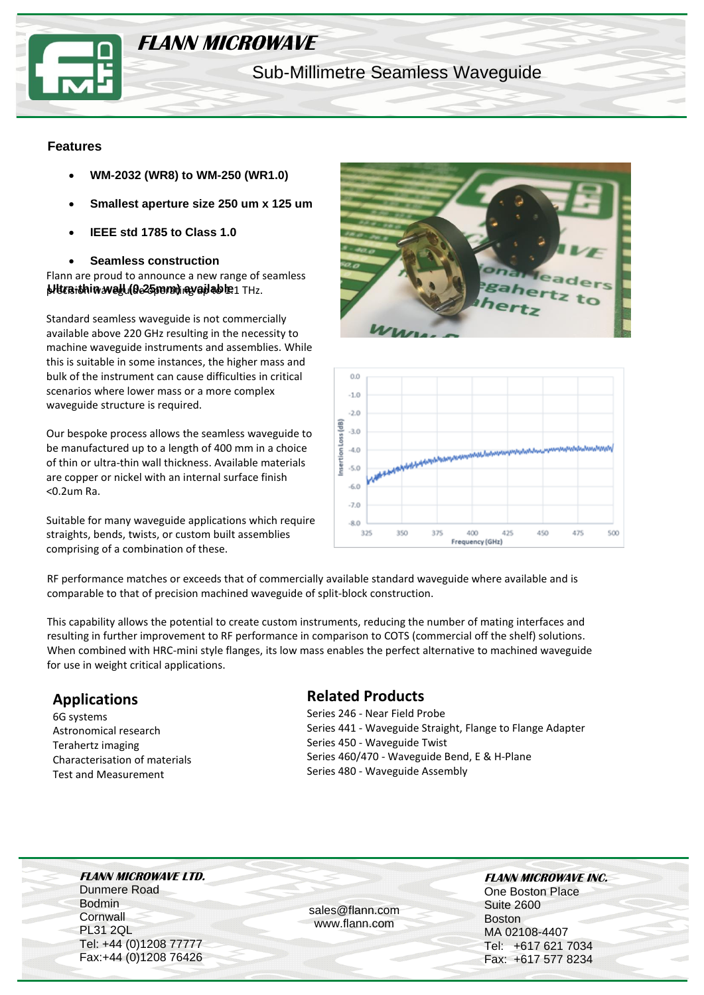

# **FLANN MICROWAVE**

Sub-Millimetre Seamless Waveguide

#### **Features**

- **WM-2032 (WR8) to WM-250 (WR1.0)**
- **Smallest aperture size 250 um x 125 um**
- **IEEE std 1785 to Class 1.0**
- **Seamless construction**

**blura-thin wall (0.25 mm) ay ail ab le** 1 THz. Flann are proud to announce a new range of seamless

Standard seamless waveguide is not commercially available above 220 GHz resulting in the necessity to machine waveguide instruments and assemblies. While this is suitable in some instances, the higher mass and bulk of the instrument can cause difficulties in critical scenarios where lower mass or a more complex waveguide structure is required.

Our bespoke process allows the seamless waveguide to be manufactured up to a length of 400 mm in a choice of thin or ultra-thin wall thickness. Available materials are copper or nickel with an internal surface finish <0.2um Ra.

Suitable for many waveguide applications which require straights, bends, twists, or custom built assemblies comprising of a combination of these.





RF performance matches or exceeds that of commercially available standard waveguide where available and is comparable to that of precision machined waveguide of split-block construction.

This capability allows the potential to create custom instruments, reducing the number of mating interfaces and resulting in further improvement to RF performance in comparison to COTS (commercial off the shelf) solutions. When combined with HRC-mini style flanges, its low mass enables the perfect alternative to machined waveguide for use in weight critical applications.

# **Applications**

6G systems Astronomical research Terahertz imaging Characterisation of materials Test and Measurement

## **Related Products**

Series 246 - Near Field Probe Series 441 - Waveguide Straight, Flange to Flange Adapter Series 450 - Waveguide Twist Series 460/470 - Waveguide Bend, E & H-Plane Series 480 - Waveguide Assembly

**FLANN MICROWAVE LTD.** Dunmere Road Bodmin **Cornwall** PL31 2QL Tel: +44 (0)1208 77777 Fax:+44 (0)1208 76426

sales@flann.com www.flann.com

**FLANN MICROWAVE INC.**  One Boston Place Suite 2600 Boston MA 02108-4407 Tel: +617 621 7034 Fax: +617 577 8234